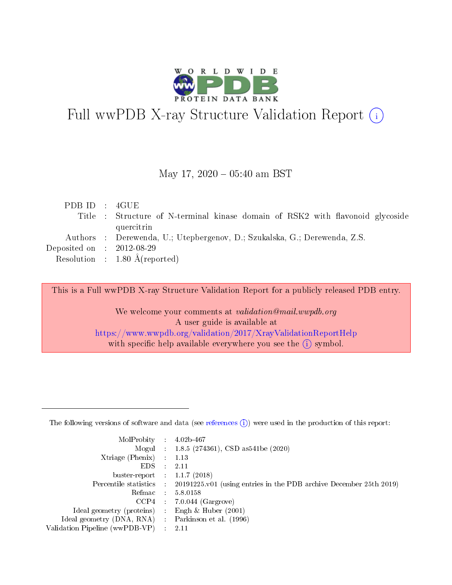

# Full wwPDB X-ray Structure Validation Report (i)

#### May 17,  $2020 - 05:40$  am BST

| PDBID : 4GUE                |                                                                                |
|-----------------------------|--------------------------------------------------------------------------------|
|                             | Title : Structure of N-terminal kinase domain of RSK2 with flavonoid glycoside |
|                             | quercitrin                                                                     |
|                             | Authors : Derewenda, U.; Utepbergenov, D.; Szukalska, G.; Derewenda, Z.S.      |
| Deposited on : $2012-08-29$ |                                                                                |
|                             | Resolution : $1.80 \text{ Å}$ (reported)                                       |
|                             |                                                                                |

This is a Full wwPDB X-ray Structure Validation Report for a publicly released PDB entry.

We welcome your comments at validation@mail.wwpdb.org A user guide is available at <https://www.wwpdb.org/validation/2017/XrayValidationReportHelp> with specific help available everywhere you see the  $(i)$  symbol.

The following versions of software and data (see [references](https://www.wwpdb.org/validation/2017/XrayValidationReportHelp#references)  $(1)$ ) were used in the production of this report:

| MolProbity :                   |               | $4.02b - 467$                                                               |
|--------------------------------|---------------|-----------------------------------------------------------------------------|
|                                |               | Mogul : $1.8.5$ (274361), CSD as 541be (2020)                               |
| Xtriage (Phenix)               | $\mathcal{L}$ | 1.13                                                                        |
| EDS.                           |               | 2.11                                                                        |
| buster-report : $1.1.7$ (2018) |               |                                                                             |
| Percentile statistics :        |               | $20191225 \text{v}01$ (using entries in the PDB archive December 25th 2019) |
| Refmac :                       |               | 5.8.0158                                                                    |
| CCP4                           |               | $7.0.044$ (Gargrove)                                                        |
| Ideal geometry (proteins) :    |               | Engh $\&$ Huber (2001)                                                      |
| Ideal geometry (DNA, RNA) :    |               | Parkinson et al. (1996)                                                     |
| Validation Pipeline (wwPDB-VP) | $\mathcal{L}$ | 2.11                                                                        |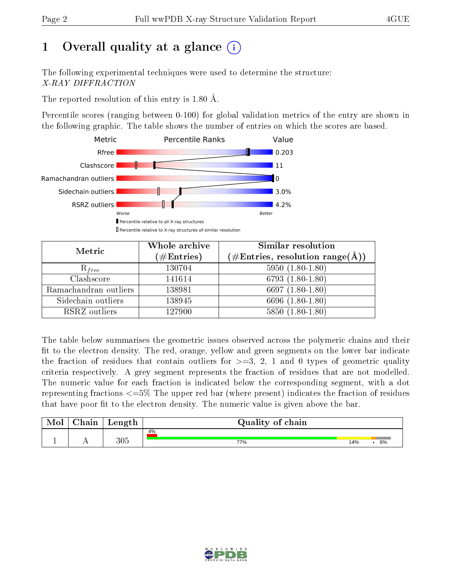# 1 [O](https://www.wwpdb.org/validation/2017/XrayValidationReportHelp#overall_quality)verall quality at a glance  $(i)$

The following experimental techniques were used to determine the structure: X-RAY DIFFRACTION

The reported resolution of this entry is 1.80 Å.

Percentile scores (ranging between 0-100) for global validation metrics of the entry are shown in the following graphic. The table shows the number of entries on which the scores are based.



| Metric                | Whole archive<br>$(\#\text{Entries})$ | Similar resolution<br>$(\#\text{Entries}, \text{resolution range}(\textup{\AA}))$ |
|-----------------------|---------------------------------------|-----------------------------------------------------------------------------------|
| $R_{free}$            | 130704                                | $5950(1.80-1.80)$                                                                 |
| Clashscore            | 141614                                | 6793 $(1.80-1.80)$                                                                |
| Ramachandran outliers | 138981                                | 6697 $(1.80-1.80)$                                                                |
| Sidechain outliers    | 138945                                | 6696 (1.80-1.80)                                                                  |
| RSRZ outliers         | 127900                                | $5850(1.80-1.80)$                                                                 |

The table below summarises the geometric issues observed across the polymeric chains and their fit to the electron density. The red, orange, yellow and green segments on the lower bar indicate the fraction of residues that contain outliers for  $>=3, 2, 1$  and 0 types of geometric quality criteria respectively. A grey segment represents the fraction of residues that are not modelled. The numeric value for each fraction is indicated below the corresponding segment, with a dot representing fractions  $\epsilon=5\%$  The upper red bar (where present) indicates the fraction of residues that have poor fit to the electron density. The numeric value is given above the bar.

| Mol | $\cap$ hain | Length  | Quality of chain |     |    |
|-----|-------------|---------|------------------|-----|----|
|     |             |         | 4%               |     |    |
|     |             | $305\,$ | 77%              | 14% | 6% |

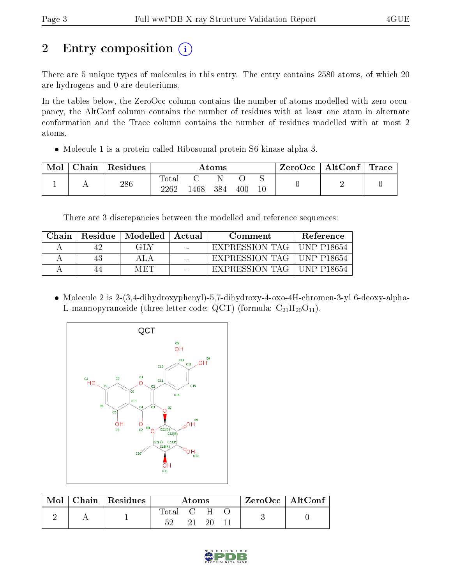# 2 Entry composition  $\left( \cdot \right)$

There are 5 unique types of molecules in this entry. The entry contains 2580 atoms, of which 20 are hydrogens and 0 are deuteriums.

In the tables below, the ZeroOcc column contains the number of atoms modelled with zero occupancy, the AltConf column contains the number of residues with at least one atom in alternate conformation and the Trace column contains the number of residues modelled with at most 2 atoms.

Molecule 1 is a protein called Ribosomal protein S6 kinase alpha-3.

| Mol | Chain | Residues | Atoms                |     |     |     | $\mid$ ZeroOcc $\mid$ AltConf $\mid$ Trace |  |  |
|-----|-------|----------|----------------------|-----|-----|-----|--------------------------------------------|--|--|
|     |       | 286      | $\rm{Total}$<br>2262 | 468 | 384 | 400 | 10                                         |  |  |

There are 3 discrepancies between the modelled and reference sequences:

| Chain | Residue   Modelled   Actual | Comment        | Reference               |
|-------|-----------------------------|----------------|-------------------------|
|       | GLY                         | EXPRESSION TAG | UNP P18654              |
|       |                             | EXPRESSION TAG | UNP P18654              |
|       | M ETI                       | EXPRESSION TAG | <sup>†</sup> UNP P18654 |

 Molecule 2 is 2-(3,4-dihydroxyphenyl)-5,7-dihydroxy-4-oxo-4H-chromen-3-yl 6-deoxy-alpha-L-mannopyranoside (three-letter code: QCT) (formula:  $C_{21}H_{20}O_{11}$ ).



| Mol | $\mid$ Chain $\mid$ Residues | Atoms |  |       |  | $ZeroOcc \   \$ AltConf |
|-----|------------------------------|-------|--|-------|--|-------------------------|
|     |                              | Total |  | $C-H$ |  |                         |
|     |                              | 52.   |  |       |  |                         |

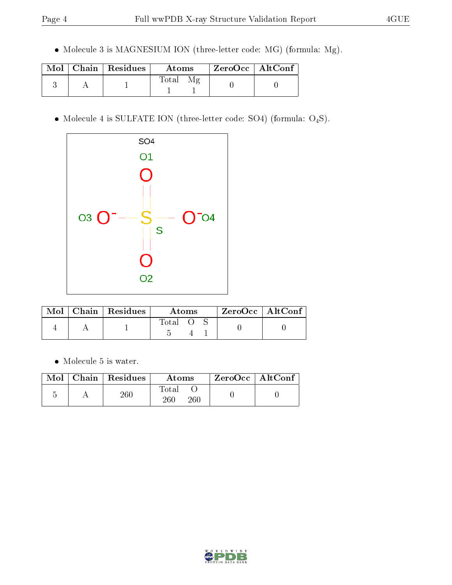Molecule 3 is MAGNESIUM ION (three-letter code: MG) (formula: Mg).

|  | $\text{Mol}$   Chain   Residues | Atoms       | ZeroOcc   AltConf |
|--|---------------------------------|-------------|-------------------|
|  |                                 | $\rm Total$ |                   |

 $\bullet$  Molecule 4 is SULFATE ION (three-letter code: SO4) (formula: O<sub>4</sub>S).



|  | $Mol$   Chain   Residues | Atoms |  |  | $ZeroOcc$   AltConf |  |
|--|--------------------------|-------|--|--|---------------------|--|
|  |                          | Total |  |  |                     |  |

Molecule 5 is water.

|  | $\text{Mol}$   Chain   Residues | Atoms                   | ZeroOcc   AltConf |  |
|--|---------------------------------|-------------------------|-------------------|--|
|  | $260\,$                         | Total<br>260<br>$260\,$ |                   |  |

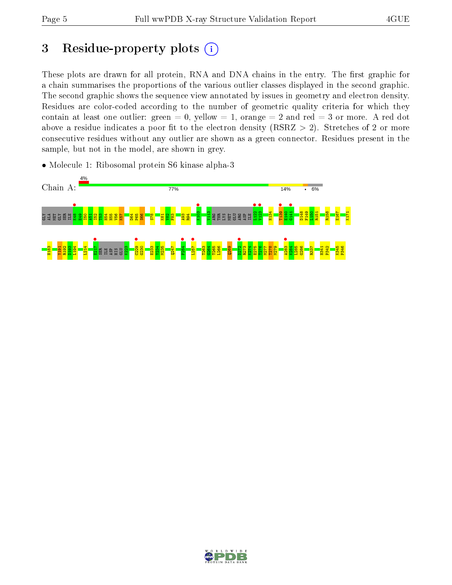## 3 Residue-property plots  $(i)$

These plots are drawn for all protein, RNA and DNA chains in the entry. The first graphic for a chain summarises the proportions of the various outlier classes displayed in the second graphic. The second graphic shows the sequence view annotated by issues in geometry and electron density. Residues are color-coded according to the number of geometric quality criteria for which they contain at least one outlier: green  $= 0$ , yellow  $= 1$ , orange  $= 2$  and red  $= 3$  or more. A red dot above a residue indicates a poor fit to the electron density (RSRZ  $> 2$ ). Stretches of 2 or more consecutive residues without any outlier are shown as a green connector. Residues present in the sample, but not in the model, are shown in grey.

• Molecule 1: Ribosomal protein S6 kinase alpha-3



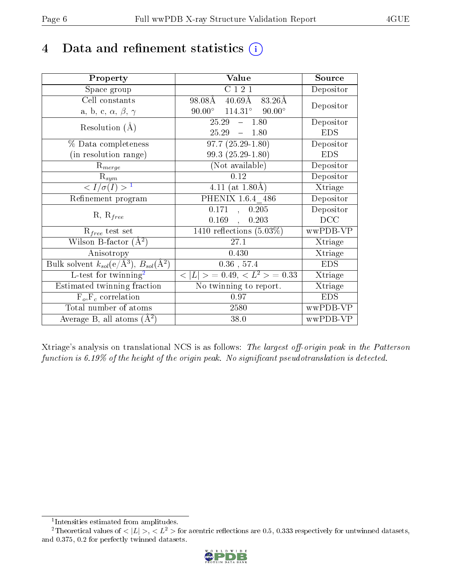## 4 Data and refinement statistics  $(i)$

| Property                                                             | Value                                    | Source                       |
|----------------------------------------------------------------------|------------------------------------------|------------------------------|
| Space group                                                          | C121                                     | Depositor                    |
| Cell constants                                                       | $40.69\text{\AA}$<br>83.26Å<br>98.08Å    | Depositor                    |
| a, b, c, $\alpha$ , $\beta$ , $\gamma$                               | $114.31^{\circ}$ 90.00°<br>$90.00^\circ$ |                              |
| Resolution $(A)$                                                     | 25.29<br>$-1.80$                         | Depositor                    |
|                                                                      | 25.29<br>$-1.80$                         | <b>EDS</b>                   |
| % Data completeness                                                  | $97.7(25.29-1.80)$                       | Depositor                    |
| (in resolution range)                                                | $99.3(25.29-1.80)$                       | <b>EDS</b>                   |
| $R_{merge}$                                                          | (Not available)                          | Depositor                    |
| $\mathrm{R}_{sym}$                                                   | 0.12                                     | Depositor                    |
| $\langle I/\sigma(I) \rangle^{-1}$                                   | 4.11 (at $1.80\text{\AA}$ )              | $\overline{\text{X}}$ triage |
| Refinement program                                                   | PHENIX 1.6.4 486                         | Depositor                    |
|                                                                      | 0.171<br>0.205<br>$\mathcal{A}^{\pm}$    | Depositor                    |
| $R, R_{free}$                                                        | 0.169<br>0.203<br>$\mathbf{r}$           | DCC                          |
| $R_{free}$ test set                                                  | 1410 reflections $(5.03\%)$              | wwPDB-VP                     |
| Wilson B-factor $(A^2)$                                              | 27.1                                     | Xtriage                      |
| Anisotropy                                                           | 0.430                                    | Xtriage                      |
| Bulk solvent $k_{sol}(e/\mathring{A}^3)$ , $B_{sol}(\mathring{A}^2)$ | $0.36$ , 57.4                            | <b>EDS</b>                   |
| $L$ -test for twinning <sup>2</sup>                                  | $< L >$ = 0.49, $< L2$ = 0.33            | Xtriage                      |
| Estimated twinning fraction                                          | No twinning to report.                   | Xtriage                      |
| $F_o, F_c$ correlation                                               | 0.97                                     | <b>EDS</b>                   |
| Total number of atoms                                                | 2580                                     | wwPDB-VP                     |
| Average B, all atoms $(A^2)$                                         | 38.0                                     | wwPDB-VP                     |

Xtriage's analysis on translational NCS is as follows: The largest off-origin peak in the Patterson function is  $6.19\%$  of the height of the origin peak. No significant pseudotranslation is detected.

<sup>&</sup>lt;sup>2</sup>Theoretical values of  $\langle |L| \rangle$ ,  $\langle L^2 \rangle$  for acentric reflections are 0.5, 0.333 respectively for untwinned datasets, and 0.375, 0.2 for perfectly twinned datasets.



<span id="page-5-1"></span><span id="page-5-0"></span><sup>1</sup> Intensities estimated from amplitudes.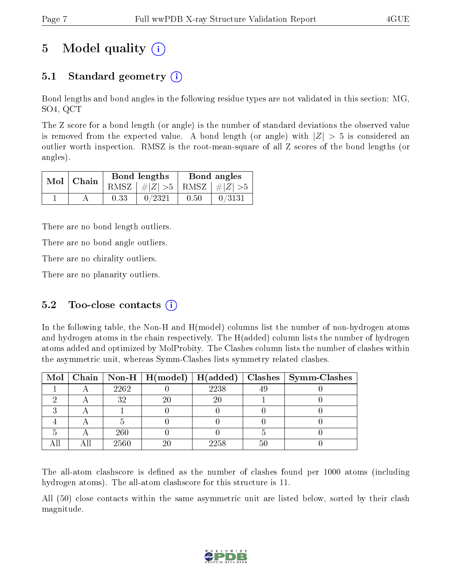# 5 Model quality  $(i)$

### 5.1 Standard geometry (i)

Bond lengths and bond angles in the following residue types are not validated in this section: MG, SO4, QCT

The Z score for a bond length (or angle) is the number of standard deviations the observed value is removed from the expected value. A bond length (or angle) with  $|Z| > 5$  is considered an outlier worth inspection. RMSZ is the root-mean-square of all Z scores of the bond lengths (or angles).

| $Mol$   Chain |      | Bond lengths                    | Bond angles |        |  |
|---------------|------|---------------------------------|-------------|--------|--|
|               |      | RMSZ $ #Z  > 5$ RMSZ $ #Z  > 5$ |             |        |  |
|               | 0.33 | 0/2321                          | 0.50        | 0/3131 |  |

There are no bond length outliers.

There are no bond angle outliers.

There are no chirality outliers.

There are no planarity outliers.

### 5.2 Too-close contacts  $(i)$

In the following table, the Non-H and H(model) columns list the number of non-hydrogen atoms and hydrogen atoms in the chain respectively. The H(added) column lists the number of hydrogen atoms added and optimized by MolProbity. The Clashes column lists the number of clashes within the asymmetric unit, whereas Symm-Clashes lists symmetry related clashes.

|  |      |        | Mol   Chain   Non-H   H(model)   H(added)   Clashes   Symm-Clashes |
|--|------|--------|--------------------------------------------------------------------|
|  | 2262 | 2238   |                                                                    |
|  | 32   | $20\,$ |                                                                    |
|  |      |        |                                                                    |
|  |      |        |                                                                    |
|  | 260  |        |                                                                    |
|  | 2560 | 2258   |                                                                    |

The all-atom clashscore is defined as the number of clashes found per 1000 atoms (including hydrogen atoms). The all-atom clashscore for this structure is 11.

All (50) close contacts within the same asymmetric unit are listed below, sorted by their clash magnitude.

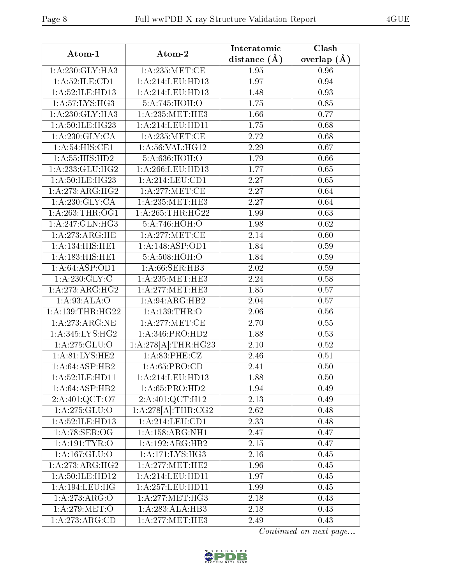|--|--|

| Atom-1               | Atom-2              | Interatomic    | Clash           |
|----------------------|---------------------|----------------|-----------------|
|                      |                     | distance $(A)$ | overlap $(\AA)$ |
| 1: A:230: GLY: HA3   | 1: A:235: MET:CE    | 1.95           | 0.96            |
| 1:A:52:ILE:CD1       | 1: A:214:LEU:HD13   | 1.97           | 0.94            |
| 1:A:52:ILE:HD13      | 1:A:214:LEU:HD13    | 1.48           | 0.93            |
| 1: A:57: LYS: HG3    | 5:A:745:HOH:O       | 1.75           | 0.85            |
| 1: A:230: GLY:HA3    | 1: A:235:MET:HE3    | 1.66           | 0.77            |
| 1: A:50: ILE: HG23   | 1: A:214:LEU:HD11   | 1.75           | 0.68            |
| 1: A:230: GLY: CA    | 1: A:235:MET:CE     | 2.72           | 0.68            |
| 1: A:54: HIS: CE1    | 1: A:56: VAL:HG12   | 2.29           | 0.67            |
| 1: A: 55: HIS: HD2   | 5:A:636:HOH:O       | 1.79           | 0.66            |
| 1:A:233:GLU:HG2      | 1: A:266:LEU:HD13   | 1.77           | 0.65            |
| 1:A:50:ILE:HG23      | 1: A:214:LEU:CD1    | 2.27           | 0.65            |
| 1:A:273:ARG:HG2      | 1: A:277: MET:CE    | 2.27           | 0.64            |
| 1: A:230: GLY:CA     | 1: A: 235: MET: HE3 | 2.27           | 0.64            |
| 1: A:263:THR:OG1     | 1: A:265:THR:HG22   | 1.99           | 0.63            |
| 1: A:247: GLN:HG3    | 5:A:746:HOH:O       | 1.98           | 0.62            |
| 1:A:273:ARG:HE       | 1: A:277:MET:CE     | 2.14           | 0.60            |
| 1:A:134:HIS:HE1      | 1:A:148:ASP:OD1     | 1.84           | 0.59            |
| 1:A:183:HIS:HE1      | 5:A:508:HOH:O       | 1.84           | 0.59            |
| 1: A:64:ASP:OD1      | 1: A:66: SER:HB3    | 2.02           | 0.59            |
| 1: A: 230: GLY: C    | 1: A:235:MET:HE3    | 2.24           | 0.58            |
| 1:A:273:ARG:HG2      | 1: A:277: MET:HE3   | 1.85           | 0.57            |
| 1: A:93: ALA:O       | 1:A:94:ARG:HB2      | 2.04           | 0.57            |
| 1: A: 139: THR: HG22 | 1:A:139:THR:O       | 2.06           | 0.56            |
| 1:A:273:ARG:NE       | 1: A:277: MET:CE    | 2.70           | 0.55            |
| 1: A:345: LYS: HG2   | 1:A:346:PRO:HD2     | 1.88           | 0.53            |
| 1:A:275:GLU:O        | 1:A:278[A]:THR:HG23 | 2.10           | 0.52            |
| 1: A:81: LYS: HE2    | 1:A:83:PHE:CZ       | 2.46           | 0.51            |
| 1: A:64:ASP:HB2      | 1: A:65: PRO:CD     | 2.41           | 0.50            |
| 1: A:52: ILE: HD11   | 1:A:214:LEU:HD13    | 1.88           | 0.50            |
| 1:A:64:ASP:HB2       | 1: A:65: PRO:HD2    | 1.94           | 0.49            |
| 2:A:401:QCT:O7       | 2:A:401:QCT:H12     | $2.13\,$       | 0.49            |
| 1: A:275: GLU:O      | 1:A:278[A]:THR:CG2  | 2.62           | 0.48            |
| 1:A:52:ILE:HD13      | 1:A:214:LEU:CD1     | 2.33           | 0.48            |
| 1: A:78: SER:OG      | 1: A: 158: ARG: NH1 | 2.47           | 0.47            |
| 1: A: 191: TYR: O    | 1:A:192:ARG:HB2     | $2.15\,$       | 0.47            |
| 1:A:167:GLU:O        | 1: A:171:LYS:HG3    | 2.16           | 0.45            |
| 1:A:273:ARG:HG2      | 1: A:277:MET:HE2    | 1.96           | 0.45            |
| 1:A:50:ILE:HD12      | 1: A:214:LEU:HD11   | 1.97           | 0.45            |
| 1:A:194:LEU:HG       | 1:A:257:LEU:HD11    | 1.99           | 0.45            |
| 1:A:273:ARG:O        | 1: A:277: MET:HG3   | 2.18           | 0.43            |
| 1:A:279:MET:O        | 1:A:283:ALA:HB3     | 2.18           | 0.43            |
| 1:A:273:ARG:CD       | 1:A:277:MET:HE3     | 2.49           | 0.43            |

Continued on next page...

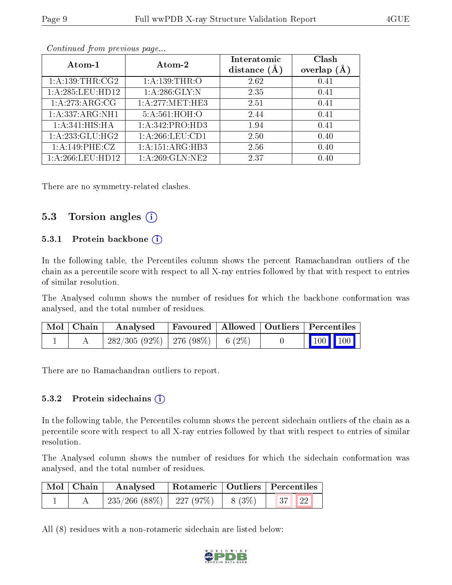| Atom-1              | Atom-2           | Interatomic      | Clash          |
|---------------------|------------------|------------------|----------------|
|                     |                  | distance $(\AA)$ | overlap<br>(A) |
| 1: A: 139: THR: CG2 | 1: A: 139: THR:O | 2.62             | 0.41           |
| 1: A:285:LEU:HD12   | 1: A:286: GLY:N  | 2.35             | 0.41           |
| 1:A:273:ARG:CG      | 1: A:277:MET:HE3 | 2.51             | 0.41           |
| 1:A:337:ARG:NH1     | 5:A:561:HOH:O    | 2.44             | 0.41           |
| 1: A:341: HIS: HA   | 1:A:342:PRO:HD3  | 1.94             | 0.41           |
| 1: A: 233: GLU: HG2 | 1:A:266:LEU:CD1  | 2.50             | 0.40           |
| 1:A:149:PHE:CZ      | 1:A:151:ARG:HB3  | 2.56             | 0.40           |
| 1: A:266:LEU:HD12   | 1:A:269:GLN:NE2  | 2.37             | 0.40           |

Continued from previous page...

There are no symmetry-related clashes.

#### 5.3 Torsion angles  $(i)$

#### 5.3.1 Protein backbone (i)

In the following table, the Percentiles column shows the percent Ramachandran outliers of the chain as a percentile score with respect to all X-ray entries followed by that with respect to entries of similar resolution.

The Analysed column shows the number of residues for which the backbone conformation was analysed, and the total number of residues.

| Mol   Chain | Analysed                               |  | Favoured   Allowed   Outliers   Percentiles |  |
|-------------|----------------------------------------|--|---------------------------------------------|--|
|             | $282/305(92\%)$   276 (98\%)   6 (2\%) |  | $\boxed{100}$ $\boxed{100}$                 |  |

There are no Ramachandran outliers to report.

#### 5.3.2 Protein sidechains  $(i)$

In the following table, the Percentiles column shows the percent sidechain outliers of the chain as a percentile score with respect to all X-ray entries followed by that with respect to entries of similar resolution.

The Analysed column shows the number of residues for which the sidechain conformation was analysed, and the total number of residues.

| Mol   Chain | Analysed                      |          | Rotameric   Outliers   Percentiles |  |
|-------------|-------------------------------|----------|------------------------------------|--|
|             | $235/266$ (88\%)   227 (97\%) | $8(3\%)$ | $\vert 37 \vert$ $\vert 22 \vert$  |  |

All (8) residues with a non-rotameric sidechain are listed below:

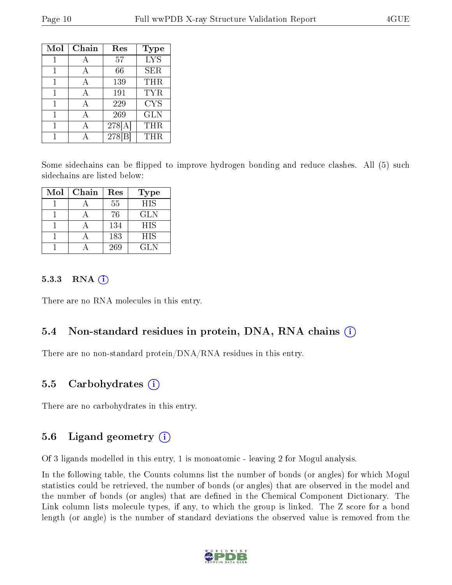| Mol | Chain | Res   | <b>Type</b> |
|-----|-------|-------|-------------|
|     |       | 57    | <b>LYS</b>  |
|     |       | 66    | <b>SER</b>  |
|     |       | 139   | THR         |
|     |       | 191   | TYR         |
|     | А     | 229   | <b>CYS</b>  |
|     |       | 269   | <b>GLN</b>  |
| 1   |       | 278[A | THR         |
|     |       | 278   | THR.        |

Some sidechains can be flipped to improve hydrogen bonding and reduce clashes. All (5) such sidechains are listed below:

| Mol | Chain | Res | Type       |
|-----|-------|-----|------------|
|     |       | 55  | <b>HIS</b> |
|     |       | 76  | GLN        |
|     |       | 134 | <b>HIS</b> |
|     |       | 183 | <b>HIS</b> |
|     |       | 269 | <b>GLN</b> |

#### 5.3.3 RNA  $(i)$

There are no RNA molecules in this entry.

#### 5.4 Non-standard residues in protein, DNA, RNA chains (i)

There are no non-standard protein/DNA/RNA residues in this entry.

#### 5.5 Carbohydrates (i)

There are no carbohydrates in this entry.

#### 5.6 Ligand geometry  $(i)$

Of 3 ligands modelled in this entry, 1 is monoatomic - leaving 2 for Mogul analysis.

In the following table, the Counts columns list the number of bonds (or angles) for which Mogul statistics could be retrieved, the number of bonds (or angles) that are observed in the model and the number of bonds (or angles) that are dened in the Chemical Component Dictionary. The Link column lists molecule types, if any, to which the group is linked. The Z score for a bond length (or angle) is the number of standard deviations the observed value is removed from the

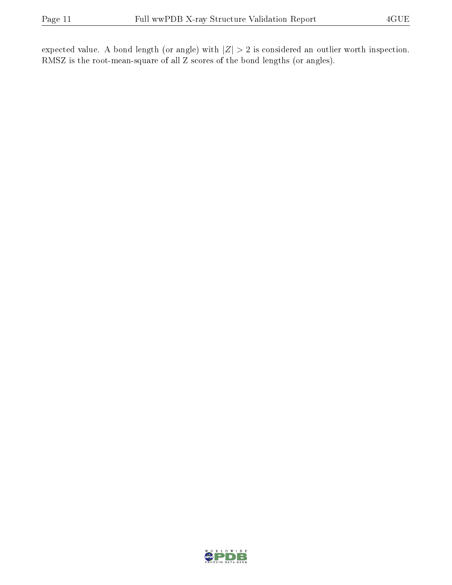expected value. A bond length (or angle) with  $|Z| > 2$  is considered an outlier worth inspection. RMSZ is the root-mean-square of all Z scores of the bond lengths (or angles).

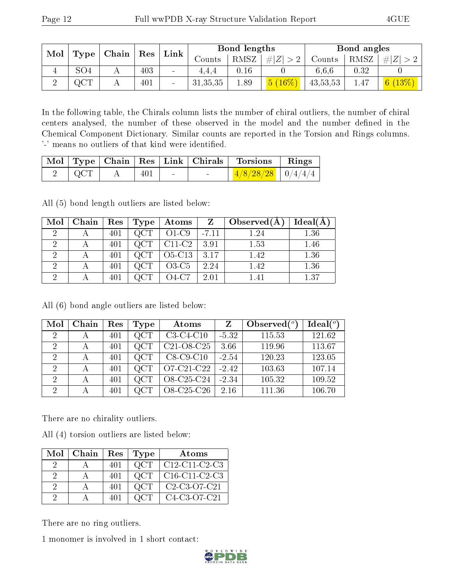| Mol         | Type            |  |     | $\mid$ Chain $\mid$ |            |      |             |            |      |                             |  |  |  |  |  | Res | Link |  | Bond lengths |  |  | Bond angles |  |
|-------------|-----------------|--|-----|---------------------|------------|------|-------------|------------|------|-----------------------------|--|--|--|--|--|-----|------|--|--------------|--|--|-------------|--|
|             |                 |  |     |                     | Counts     | RMSZ | # $ Z  > 2$ | Counts     | RMSZ | Z<br>#                      |  |  |  |  |  |     |      |  |              |  |  |             |  |
| $\mathbf +$ | SO <sub>4</sub> |  | 403 | $\sim$              | 4.4.4      | 0.16 |             | 6.6.6      | 0.32 |                             |  |  |  |  |  |     |      |  |              |  |  |             |  |
|             | QCT             |  | 401 | $\qquad \qquad$     | 31, 35, 35 | 1.89 | $(16\%)$    | 43, 53, 53 | 1.47 | $\mid 6 \ (13\%) \mid \mid$ |  |  |  |  |  |     |      |  |              |  |  |             |  |

In the following table, the Chirals column lists the number of chiral outliers, the number of chiral centers analysed, the number of these observed in the model and the number defined in the Chemical Component Dictionary. Similar counts are reported in the Torsion and Rings columns. '-' means no outliers of that kind were identified.

|                |       |        | Mol   Type   Chain   Res   Link   Chirals   Torsions   Rings |  |
|----------------|-------|--------|--------------------------------------------------------------|--|
| $2 \sqrt{QCT}$ | 401 ' | $\sim$ | $\frac{4/8/28/28}{10/4/4/4}$                                 |  |

All (5) bond length outliers are listed below:

| Mol                  | Chain | $\operatorname{Res}$ | Type | Atoms    |         | Observed $(A)$ | Ideal(A) |
|----------------------|-------|----------------------|------|----------|---------|----------------|----------|
| 9                    |       | 401                  |      | $O1-C9$  | $-7.11$ | 1.24           | 1.36     |
| 2                    |       | 401                  |      | $C11-C2$ | 3.91    | 1.53           | 1.46     |
| റ                    |       | 401                  |      | O5-C13   | 3.17    | 1.42           | 1.36     |
| $\ddot{\phantom{0}}$ |       | 401                  |      | $O3-C5$  | 2.24    | 1.42           | 1.36     |
| ച                    |       |                      |      | 74-C7    | 2.01    |                | 1.37     |

All (6) bond angle outliers are listed below:

| Mol                         | Chain        | Res | Type       | Atoms                                            | Z       | Observed $(°)$ | Ideal $(°)$ |
|-----------------------------|--------------|-----|------------|--------------------------------------------------|---------|----------------|-------------|
| 2                           | А            | 401 | QCT        | $C3-C4-C10$                                      | $-5.32$ | 115.53         | 121.62      |
| 2                           | А            | 401 | QCT        | C <sub>21</sub> -O <sub>8</sub> -C <sub>25</sub> | 3.66    | 119.96         | 113.67      |
| $\mathcal{D}$               | А            | 401 | QCT        | $C8-C9-C10$                                      | $-2.54$ | 120.23         | 123.05      |
| $\mathcal{D}$               | $\mathsf{A}$ | 401 | QCT        | O7-C21-C22                                       | $-2.42$ | 103.63         | 107.14      |
| $\mathcal{D}_{\mathcal{L}}$ |              | 401 | QCT        | O8-C25-C24                                       | $-2.34$ | 105.32         | 109.52      |
| 2                           | А            | 401 | $\rm{QCT}$ | O8-C25-C26                                       | 2.16    | 111.36         | 106.70      |

There are no chirality outliers.

All (4) torsion outliers are listed below:

| Mol | Chain | Res | Type | Atoms                                                           |
|-----|-------|-----|------|-----------------------------------------------------------------|
|     |       | 401 | QCT  | $C12-C11-C2-C3$                                                 |
|     |       | 401 | OCT  | $C16-C11-C2-C3$                                                 |
| 9   |       | 401 | QCT  | $C2-C3-O7-C21$                                                  |
|     |       | 401 |      | C <sub>4</sub> -C <sub>3</sub> -O <sub>7</sub> -C <sub>21</sub> |

There are no ring outliers.

1 monomer is involved in 1 short contact:

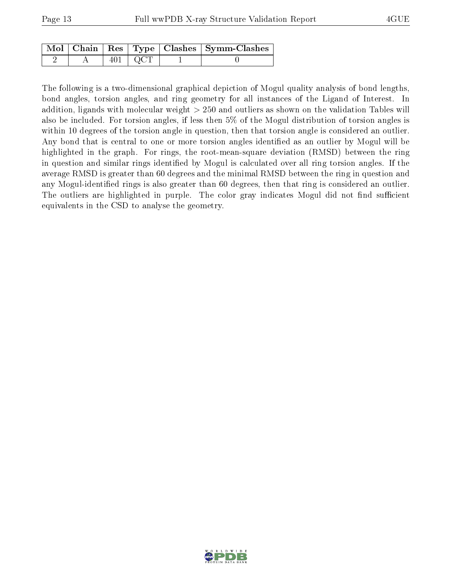|  |               | Mol   Chain   Res   Type   Clashes   Symm-Clashes |
|--|---------------|---------------------------------------------------|
|  | $401 \pm QCT$ |                                                   |

The following is a two-dimensional graphical depiction of Mogul quality analysis of bond lengths, bond angles, torsion angles, and ring geometry for all instances of the Ligand of Interest. In addition, ligands with molecular weight > 250 and outliers as shown on the validation Tables will also be included. For torsion angles, if less then 5% of the Mogul distribution of torsion angles is within 10 degrees of the torsion angle in question, then that torsion angle is considered an outlier. Any bond that is central to one or more torsion angles identified as an outlier by Mogul will be highlighted in the graph. For rings, the root-mean-square deviation (RMSD) between the ring in question and similar rings identified by Mogul is calculated over all ring torsion angles. If the average RMSD is greater than 60 degrees and the minimal RMSD between the ring in question and any Mogul-identified rings is also greater than 60 degrees, then that ring is considered an outlier. The outliers are highlighted in purple. The color gray indicates Mogul did not find sufficient equivalents in the CSD to analyse the geometry.

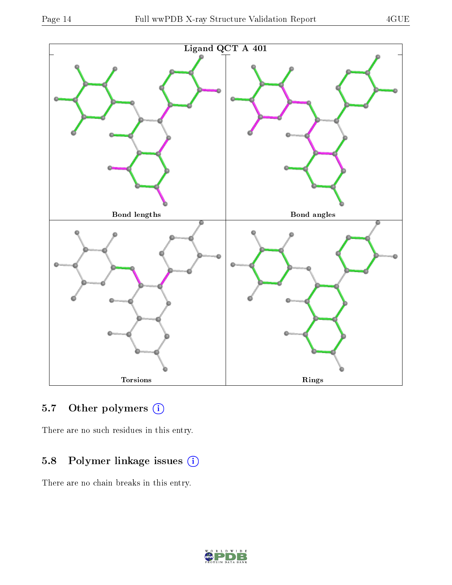

## 5.7 [O](https://www.wwpdb.org/validation/2017/XrayValidationReportHelp#nonstandard_residues_and_ligands)ther polymers (i)

There are no such residues in this entry.

## 5.8 Polymer linkage issues (i)

There are no chain breaks in this entry.

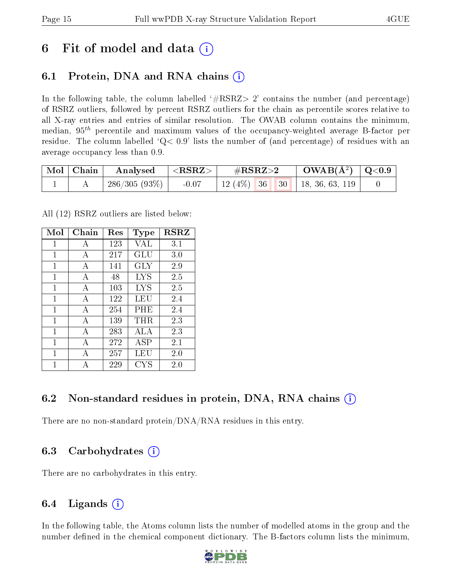## 6 Fit of model and data  $(i)$

### 6.1 Protein, DNA and RNA chains (i)

In the following table, the column labelled  $#RSRZ>2'$  contains the number (and percentage) of RSRZ outliers, followed by percent RSRZ outliers for the chain as percentile scores relative to all X-ray entries and entries of similar resolution. The OWAB column contains the minimum, median,  $95<sup>th</sup>$  percentile and maximum values of the occupancy-weighted average B-factor per residue. The column labelled  $Q< 0.9$  lists the number of (and percentage) of residues with an average occupancy less than 0.9.

| $\mid$ Mol $\mid$ Chain $\mid$ | Analysed                                             | $ \rm <\!>RSRZ\!>$ | $\#\mathrm{RSRZ}{>}2$ |  |  | $\text{OWAB}(\AA^2) \ \mid \text{Q}<0.9 \ \mid$ |  |
|--------------------------------|------------------------------------------------------|--------------------|-----------------------|--|--|-------------------------------------------------|--|
|                                | $\left  \frac{286}{305} \left( 93\% \right) \right $ | $-0.07$            |                       |  |  | 12 (4\%)   36   30   18, 36, 63, 119            |  |

All (12) RSRZ outliers are listed below:

| Mol | ${\rm Chain}$ | $\operatorname{Res}% \left( \mathcal{N}\right) \equiv\operatorname{Res}(\mathcal{N}_{0},\mathcal{N}_{0})$ | Type       | <b>RSRZ</b> |
|-----|---------------|-----------------------------------------------------------------------------------------------------------|------------|-------------|
| 1   | A             | 123                                                                                                       | VAL        | 3.1         |
| 1   | A             | 217                                                                                                       | GLU        | 3.0         |
| 1   | A             | 141                                                                                                       | GLY        | 2.9         |
| 1   | A             | 48                                                                                                        | LYS        | 2.5         |
| 1   | A             | 103                                                                                                       | LYS        | 2.5         |
| 1   | A             | 122                                                                                                       | LEU        | 2.4         |
| 1   | $\mathbf{A}$  | 254                                                                                                       | PHE        | 2.4         |
| 1   | А             | 139                                                                                                       | $\rm THR$  | 2.3         |
| 1   | A             | 283                                                                                                       | ALA        | 2.3         |
| 1   | А             | 272                                                                                                       | <b>ASP</b> | $2.1\,$     |
| 1   | А             | 257                                                                                                       | LEU        | 2.0         |
| 1   | А             | 229                                                                                                       | <b>CYS</b> | 2.0         |

### 6.2 Non-standard residues in protein, DNA, RNA chains  $(i)$

There are no non-standard protein/DNA/RNA residues in this entry.

### 6.3 Carbohydrates (i)

There are no carbohydrates in this entry.

### 6.4 Ligands  $(i)$

In the following table, the Atoms column lists the number of modelled atoms in the group and the number defined in the chemical component dictionary. The B-factors column lists the minimum,

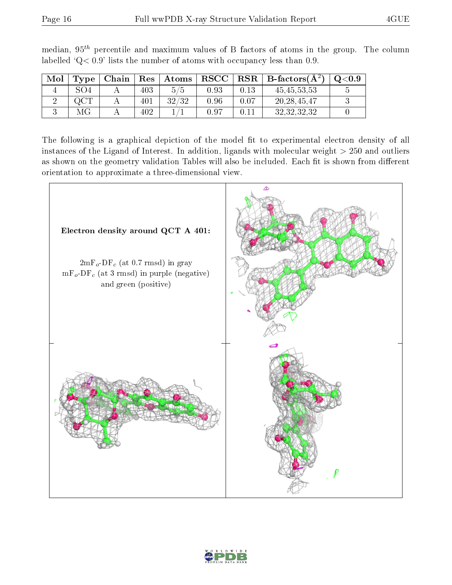| Mol | Type | Chain | Res | Atoms | $_{\rm RSCC}$ | $_{\rm RSR}$ | $\mathbf{B}\text{-factors}(\mathbf{A}^2)$ | $_{\mathrm{Q}< 0.9}$ |
|-----|------|-------|-----|-------|---------------|--------------|-------------------------------------------|----------------------|
|     | SO4  |       | 403 | 5/5   | 0.93          | 0.13         | 45, 45, 53, 53                            |                      |
|     |      |       | 401 | 32/32 | 0.96          | $0.07\,$     | 20, 28, 45, 47                            |                      |
|     | МG   |       | 402 |       | $0.97\,$      |              | 32, 32, 32, 32                            |                      |

median,  $95<sup>th</sup>$  percentile and maximum values of B factors of atoms in the group. The column labelled ' $Q< 0.9$ ' lists the number of atoms with occupancy less than 0.9.

The following is a graphical depiction of the model fit to experimental electron density of all instances of the Ligand of Interest. In addition, ligands with molecular weight  $> 250$  and outliers as shown on the geometry validation Tables will also be included. Each fit is shown from different orientation to approximate a three-dimensional view.